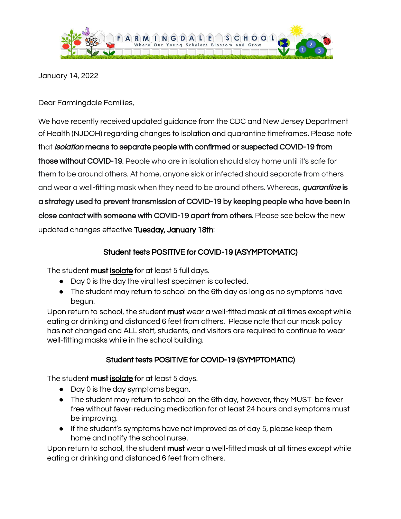

January 14, 2022

Dear Farmingdale Families,

We have recently received updated guidance from the CDC and New Jersey Department of Health (NJDOH) regarding changes to isolation and quarantine timeframes. Please note that isolation means to separate people with confirmed or suspected COVID-19 from those without COVID-19. People who are in isolation should stay home until it's safe for them to be around others. At home, anyone sick or infected should separate from others and wear a well-fitting mask when they need to be around others. Whereas, *quarantine* is a strategy used to prevent transmission of COVID-19 by keeping people who have been in close contact with someone with COVID-19 apart from others. Please see below the new updated changes effective Tuesday, January 18th:

## Student tests POSITIVE for COVID-19 (ASYMPTOMATIC)

The student **must isolate** for at least 5 full days.

- Day 0 is the day the viral test specimen is collected.
- The student may return to school on the 6th day as long as no symptoms have begun.

Upon return to school, the student must wear a well-fitted mask at all times except while eating or drinking and distanced 6 feet from others. Please note that our mask policy has not changed and ALL staff, students, and visitors are required to continue to wear well-fitting masks while in the school building.

## Student tests POSITIVE for COVID-19 (SYMPTOMATIC)

The student must isolate for at least 5 days.

- Day 0 is the day symptoms began.
- The student may return to school on the 6th day, however, they MUST be fever free without fever-reducing medication for at least 24 hours and symptoms must be improving.
- If the student's symptoms have not improved as of day 5, please keep them home and notify the school nurse.

Upon return to school, the student must wear a well-fitted mask at all times except while eating or drinking and distanced 6 feet from others.